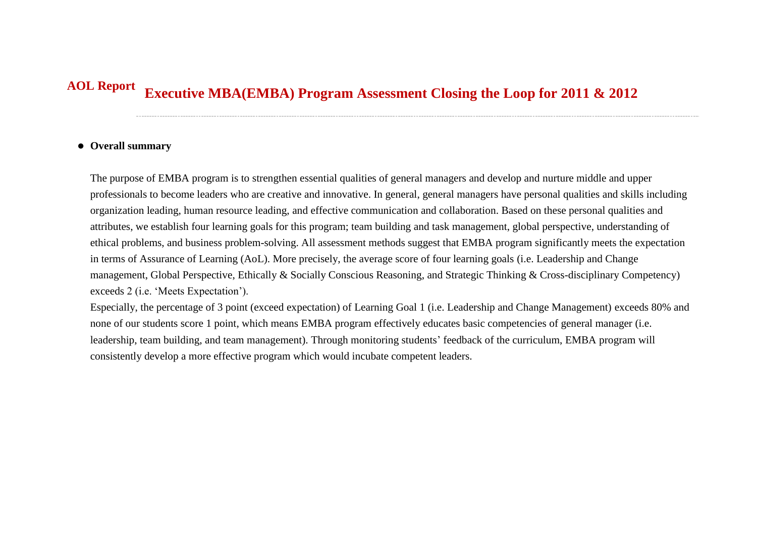## **Executive MBA(EMBA) Program Assessment Closing the Loop for 2011 & 2012 AOL Report**

## **Overall summary**

The purpose of EMBA program is to strengthen essential qualities of general managers and develop and nurture middle and upper professionals to become leaders who are creative and innovative. In general, general managers have personal qualities and skills including organization leading, human resource leading, and effective communication and collaboration. Based on these personal qualities and attributes, we establish four learning goals for this program; team building and task management, global perspective, understanding of ethical problems, and business problem-solving. All assessment methods suggest that EMBA program significantly meets the expectation in terms of Assurance of Learning (AoL). More precisely, the average score of four learning goals (i.e. Leadership and Change management, Global Perspective, Ethically & Socially Conscious Reasoning, and Strategic Thinking & Cross-disciplinary Competency) exceeds 2 (i.e. 'Meets Expectation').

Especially, the percentage of 3 point (exceed expectation) of Learning Goal 1 (i.e. Leadership and Change Management) exceeds 80% and none of our students score 1 point, which means EMBA program effectively educates basic competencies of general manager (i.e. leadership, team building, and team management). Through monitoring students' feedback of the curriculum, EMBA program will consistently develop a more effective program which would incubate competent leaders.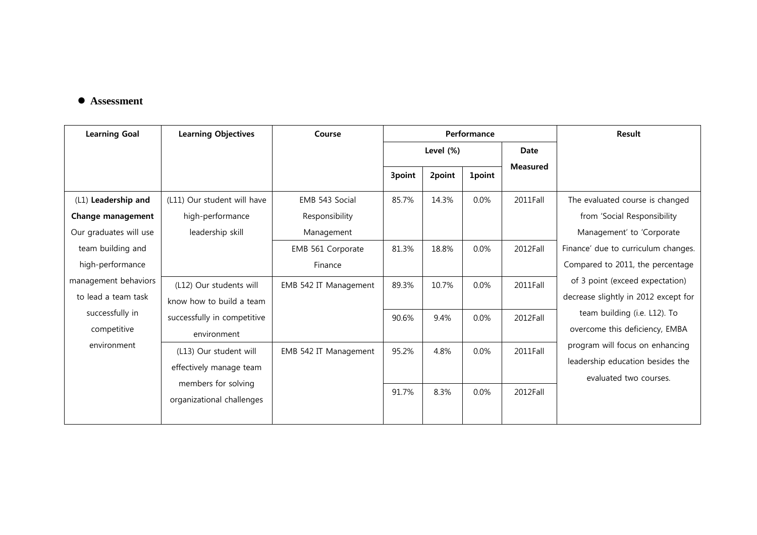## **Assessment**

| <b>Learning Goal</b>                        | <b>Learning Objectives</b>                        | Course                | Performance  |        |               |                 | <b>Result</b>                                                                                                                   |
|---------------------------------------------|---------------------------------------------------|-----------------------|--------------|--------|---------------|-----------------|---------------------------------------------------------------------------------------------------------------------------------|
|                                             |                                                   |                       | Level $(\%)$ |        |               | Date            |                                                                                                                                 |
|                                             |                                                   |                       | 3point       | 2point | <b>1point</b> | <b>Measured</b> |                                                                                                                                 |
| (L1) Leadership and                         | (L11) Our student will have                       | EMB 543 Social        | 85.7%        | 14.3%  | 0.0%          | 2011Fall        | The evaluated course is changed                                                                                                 |
| Change management                           | high-performance                                  | Responsibility        |              |        |               |                 | from 'Social Responsibility                                                                                                     |
| Our graduates will use                      | leadership skill                                  | Management            |              |        |               |                 | Management' to 'Corporate                                                                                                       |
| team building and                           |                                                   | EMB 561 Corporate     | 81.3%        | 18.8%  | 0.0%          | 2012Fall        | Finance' due to curriculum changes.                                                                                             |
| high-performance                            |                                                   | Finance               |              |        |               |                 | Compared to 2011, the percentage                                                                                                |
| management behaviors<br>to lead a team task | (L12) Our students will                           | EMB 542 IT Management | 89.3%        | 10.7%  | 0.0%          | 2011Fall        | of 3 point (exceed expectation)<br>decrease slightly in 2012 except for                                                         |
| successfully in                             | know how to build a team                          |                       |              |        |               |                 | team building (i.e. L12). To                                                                                                    |
| competitive                                 | successfully in competitive<br>environment        |                       | 90.6%        | 9.4%   | 0.0%          | 2012Fall        | overcome this deficiency, EMBA<br>program will focus on enhancing<br>leadership education besides the<br>evaluated two courses. |
| environment                                 | (L13) Our student will<br>effectively manage team | EMB 542 IT Management | 95.2%        | 4.8%   | $0.0\%$       | 2011Fall        |                                                                                                                                 |
|                                             | members for solving<br>organizational challenges  |                       | 91.7%        | 8.3%   | 0.0%          | 2012Fall        |                                                                                                                                 |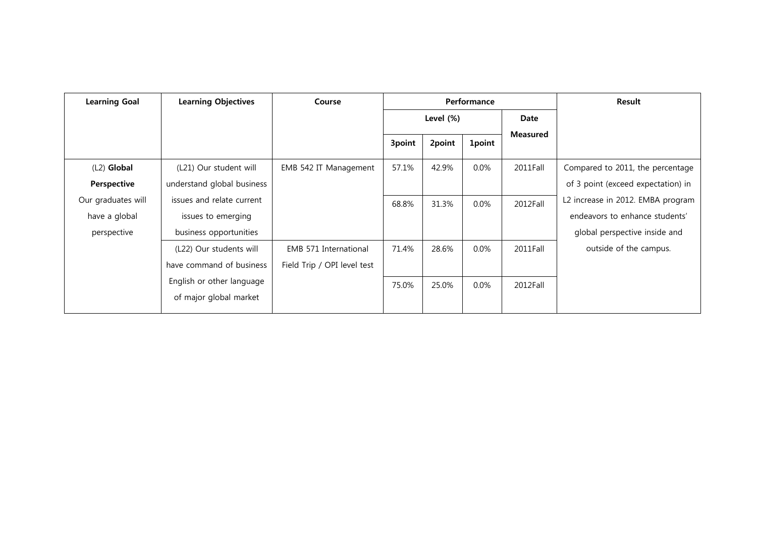| <b>Learning Goal</b> | <b>Learning Objectives</b> | Course                      | Performance  |        |               |                 | Result                             |
|----------------------|----------------------------|-----------------------------|--------------|--------|---------------|-----------------|------------------------------------|
|                      |                            |                             | Level $(\%)$ |        |               | Date            |                                    |
|                      |                            |                             | 3point       | 2point | <b>1point</b> | <b>Measured</b> |                                    |
| $(L2)$ Global        | (L21) Our student will     | EMB 542 IT Management       | 57.1%        | 42.9%  | $0.0\%$       | 2011Fall        | Compared to 2011, the percentage   |
| Perspective          | understand global business |                             |              |        |               |                 | of 3 point (exceed expectation) in |
| Our graduates will   | issues and relate current  |                             | 68.8%        | 31.3%  | $0.0\%$       | 2012Fall        | L2 increase in 2012. EMBA program  |
| have a global        | issues to emerging         |                             |              |        |               |                 | endeavors to enhance students'     |
| perspective          | business opportunities     |                             |              |        |               |                 | global perspective inside and      |
|                      | (L22) Our students will    | EMB 571 International       | 71.4%        | 28.6%  | $0.0\%$       | 2011Fall        | outside of the campus.             |
|                      | have command of business   | Field Trip / OPI level test |              |        |               |                 |                                    |
|                      | English or other language  |                             | 75.0%        | 25.0%  | $0.0\%$       | 2012Fall        |                                    |
|                      | of major global market     |                             |              |        |               |                 |                                    |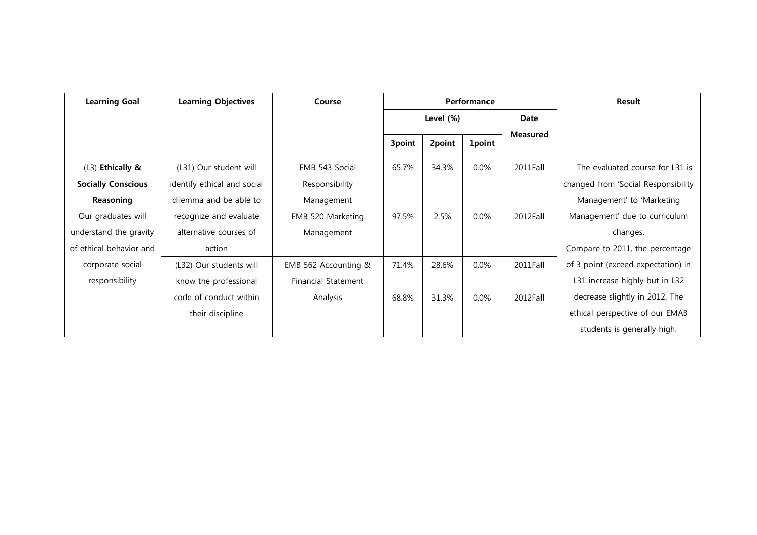| <b>Learning Goal</b>      | <b>Learning Objectives</b>  | Course                     | Performance  |        |               |                 | Result                              |
|---------------------------|-----------------------------|----------------------------|--------------|--------|---------------|-----------------|-------------------------------------|
|                           |                             |                            | Level $(\%)$ |        |               | Date            |                                     |
|                           |                             |                            | 3point       | 2point | <b>1point</b> | <b>Measured</b> |                                     |
| (L3) Ethically &          | (L31) Our student will      | EMB 543 Social             | 65.7%        | 34.3%  | $0.0\%$       | 2011Fall        | The evaluated course for L31 is     |
| <b>Socially Conscious</b> | identify ethical and social | Responsibility             |              |        |               |                 | changed from 'Social Responsibility |
| Reasoning                 | dilemma and be able to      | Management                 |              |        |               |                 | Management' to 'Marketing           |
| Our graduates will        | recognize and evaluate      | EMB 520 Marketing          | 97.5%        | 2.5%   | $0.0\%$       | 2012Fall        | Management' due to curriculum       |
| understand the gravity    | alternative courses of      | Management                 |              |        |               |                 | changes.                            |
| of ethical behavior and   | action                      |                            |              |        |               |                 | Compare to 2011, the percentage     |
| corporate social          | (L32) Our students will     | EMB 562 Accounting &       | 71.4%        | 28.6%  | $0.0\%$       | 2011Fall        | of 3 point (exceed expectation) in  |
| responsibility            | know the professional       | <b>Financial Statement</b> |              |        |               |                 | L31 increase highly but in L32      |
|                           | code of conduct within      | Analysis                   | 68.8%        | 31.3%  | $0.0\%$       | 2012Fall        | decrease slightly in 2012. The      |
|                           | their discipline            |                            |              |        |               |                 | ethical perspective of our EMAB     |
|                           |                             |                            |              |        |               |                 | students is generally high.         |